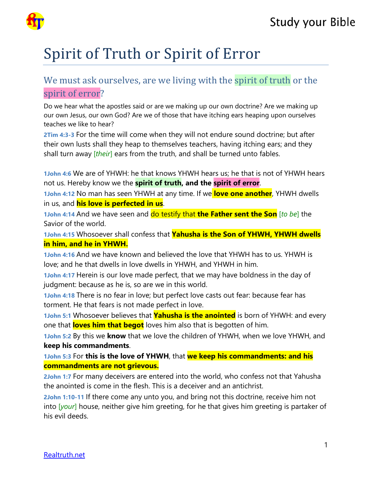

## Spirit of Truth or Spirit of Error

## We must ask ourselves, are we living with the spirit of truth or the spirit of error?

Do we hear what the apostles said or are we making up our own doctrine? Are we making up our own Jesus, our own God? Are we of those that have itching ears heaping upon ourselves teaches we like to hear?

**2Tim 4:3-3** For the time will come when they will not endure sound doctrine; but after their own lusts shall they heap to themselves teachers, having itching ears; and they shall turn away [*their*] ears from the truth, and shall be turned unto fables.

**1John 4:6** We are of YHWH: he that knows YHWH hears us; he that is not of YHWH hears not us. Hereby know we the **spirit of truth, and the spirit of error**.

**1John 4:12** No man has seen YHWH at any time. If we **love one another**, YHWH dwells in us, and **his love is perfected in us**.

**1John 4:14** And we have seen and do testify that **the Father sent the Son** [*to be*] the Savior of the world.

**1John 4:15** Whosoever shall confess that **Yahusha is the Son of YHWH, YHWH dwells in him, and he in YHWH.**

**1John 4:16** And we have known and believed the love that YHWH has to us. YHWH is love; and he that dwells in love dwells in YHWH, and YHWH in him.

**1John 4:17** Herein is our love made perfect, that we may have boldness in the day of judgment: because as he is, so are we in this world.

**1John 4:18** There is no fear in love; but perfect love casts out fear: because fear has torment. He that fears is not made perfect in love.

**1John 5:1** Whosoever believes that **Yahusha is the anointed** is born of YHWH: and every one that **loves him that begot** loves him also that is begotten of him.

**1John 5:2** By this we **know** that we love the children of YHWH, when we love YHWH, and **keep his commandments**.

**1John 5:3** For **this is the love of YHWH**, that **we keep his commandments: and his commandments are not grievous.**

**2John 1:7** For many deceivers are entered into the world, who confess not that Yahusha the anointed is come in the flesh. This is a deceiver and an antichrist.

**2John 1:10-11** If there come any unto you, and bring not this doctrine, receive him not into [*your*] house, neither give him greeting, for he that gives him greeting is partaker of his evil deeds.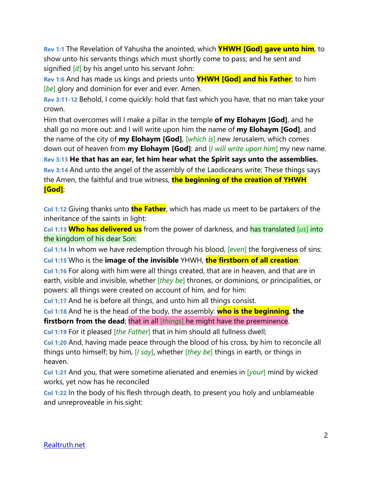**Rev 1:1** The Revelation of Yahusha the anointed, which **YHWH [God] gave unto him**, to show unto his servants things which must shortly come to pass; and he sent and signified [*it*] by his angel unto his servant John:

**Rev 1:6** And has made us kings and priests unto **YHWH [God] and his Father**; to him [*be*] glory and dominion for ever and ever. Amen.

**Rev 3:11-12** Behold, I come quickly: hold that fast which you have, that no man take your crown.

Him that overcomes will I make a pillar in the temple **of my Elohaym [God]**, and he shall go no more out: and I will write upon him the name of **my Elohaym [God]**, and the name of the city of **my Elohaym [God]**, [*which is*] new Jerusalem, which comes down out of heaven from **my Elohaym [God]**: and [*I will write upon him*] my new name. **Rev 3:13 He that has an ear, let him hear what the Spirit says unto the assemblies.**

**Rev 3:14** And unto the angel of the assembly of the Laodiceans write; These things says the Amen, the faithful and true witness, **the beginning of the creation of YHWH [God]**;

**Col 1:12** Giving thanks unto **the Father**, which has made us meet to be partakers of the inheritance of the saints in light:

**Col 1:13 Who has delivered us** from the power of darkness, and has translated [*us*] into the kingdom of his dear Son:

**Col 1:14** In whom we have redemption through his blood, [*even*] the forgiveness of sins: **Col 1:15** Who is the **image of the invisible** YHWH, **the firstborn of all creation**:

**Col 1:16** For along with him were all things created, that are in heaven, and that are in earth, visible and invisible, whether [*they be*] thrones, or dominions, or principalities, or powers: all things were created on account of him, and for him:

**Col 1:17** And he is before all things, and unto him all things consist.

**Col 1:18** And he is the head of the body, the assembly: **who is the beginning**, **the firstborn from the dead**; that in all [*things*] he might have the preeminence.

**Col 1:19** For it pleased [*the Father*] that in him should all fullness dwell;

**Col 1:20** And, having made peace through the blood of his cross, by him to reconcile all things unto himself; by him, [*I say*], whether [*they be*] things in earth, or things in heaven.

**Col 1:21** And you, that were sometime alienated and enemies in [*your*] mind by wicked works, yet now has he reconciled

**Col 1:22** In the body of his flesh through death, to present you holy and unblameable and unreproveable in his sight: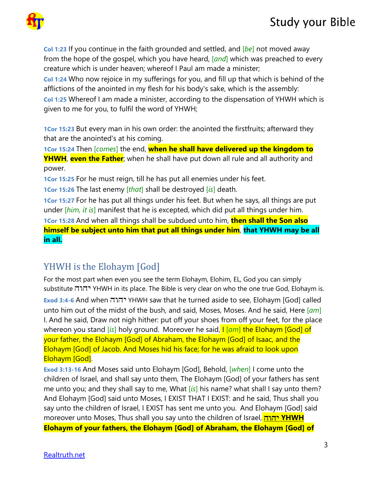## **Study your Bible**



**Col 1:23** If you continue in the faith grounded and settled, and [*be*] not moved away from the hope of the gospel, which you have heard, [*and*] which was preached to every creature which is under heaven; whereof I Paul am made a minister;

**Col 1:24** Who now rejoice in my sufferings for you, and fill up that which is behind of the afflictions of the anointed in my flesh for his body's sake, which is the assembly:

**Col 1:25** Whereof I am made a minister, according to the dispensation of YHWH which is given to me for you, to fulfil the word of YHWH;

**1Cor 15:23** But every man in his own order: the anointed the firstfruits; afterward they that are the anointed's at his coming.

**1Cor 15:24** Then [*comes*] the end, **when he shall have delivered up the kingdom to YHWH**, **even the Father**; when he shall have put down all rule and all authority and power.

**1Cor 15:25** For he must reign, till he has put all enemies under his feet.

**1Cor 15:26** The last enemy [*that*] shall be destroyed [*is*] death.

**1Cor 15:27** For he has put all things under his feet. But when he says, all things are put under [*him, it is*] manifest that he is excepted, which did put all things under him.

**1Cor 15:28** And when all things shall be subdued unto him, **then shall the Son also himself be subject unto him that put all things under him**, **that YHWH may be all in all.**

## YHWH is the Elohaym [God]

For the most part when even you see the term Elohaym, Elohim, EL, God you can simply substitute יהוה YHWH in its place. The Bible is very clear on who the one true God, Elohaym is. **Exod 3:4-6** And when יהוה YHWH saw that he turned aside to see, Elohaym [God] called unto him out of the midst of the bush, and said, Moses, Moses. And he said, Here [*am*] I. And he said, Draw not nigh hither: put off your shoes from off your feet, for the place whereon you stand [*is*] holy ground. Moreover he said, I [*am*] the Elohaym [God] of your father, the Elohaym [God] of Abraham, the Elohaym [God] of Isaac, and the Elohaym [God] of Jacob. And Moses hid his face; for he was afraid to look upon Elohaym [God].

**Exod 3:13-16** And Moses said unto Elohaym [God], Behold, [*when*] I come unto the children of Israel, and shall say unto them, The Elohaym [God] of your fathers has sent me unto you; and they shall say to me, What [*is*] his name? what shall I say unto them? And Elohaym [God] said unto Moses, I EXIST THAT I EXIST: and he said, Thus shall you say unto the children of Israel, I EXIST has sent me unto you. And Elohaym [God] said moreover unto Moses, Thus shall you say unto the children of Israel, ה יהו **YHWH Elohaym of your fathers, the Elohaym [God] of Abraham, the Elohaym [God] of**